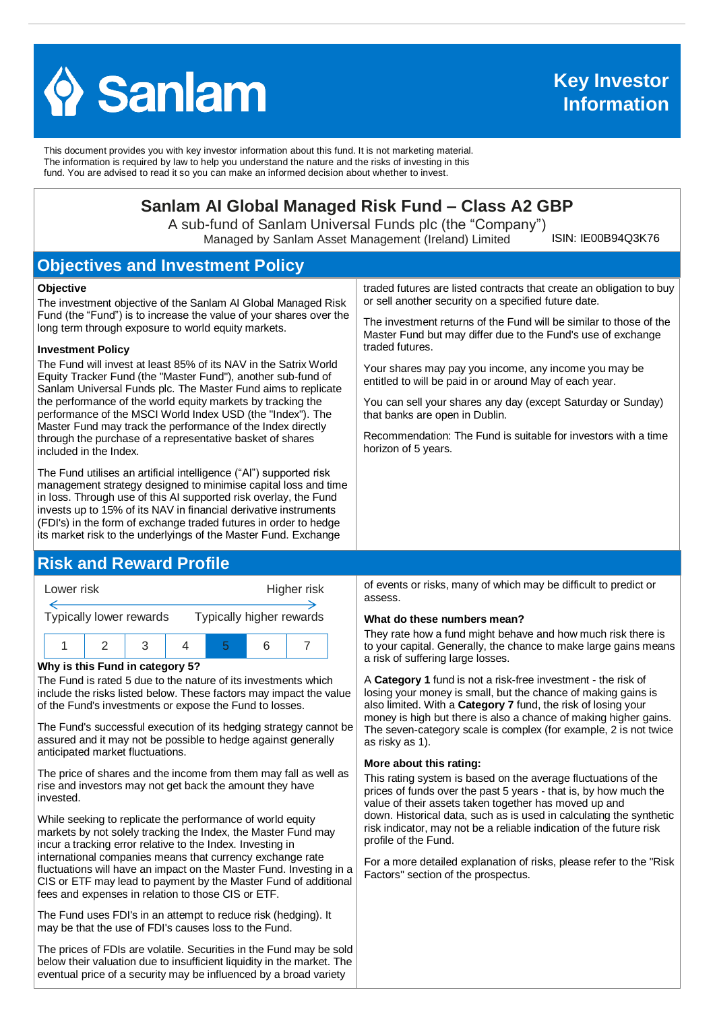

This document provides you with key investor information about this fund. It is not marketing material. The information is required by law to help you understand the nature and the risks of investing in this fund. You are advised to read it so you can make an informed decision about whether to invest.

# **Sanlam AI Global Managed Risk Fund – Class A2 GBP**

A sub-fund of Sanlam Universal Funds plc (the "Company") Managed by Sanlam Asset Management (Ireland) Limited

ISIN: IE00B94Q3K76

# **Objectives and Investment Policy**

#### **Objective**

The investment objective of the Sanlam AI Global Managed Risk Fund (the "Fund") is to increase the value of your shares over the long term through exposure to world equity markets.

#### **Investment Policy**

The Fund will invest at least 85% of its NAV in the Satrix World Equity Tracker Fund (the "Master Fund"), another sub-fund of Sanlam Universal Funds plc. The Master Fund aims to replicate the performance of the world equity markets by tracking the performance of the MSCI World Index USD (the "Index"). The Master Fund may track the performance of the Index directly through the purchase of a representative basket of shares included in the Index.

The Fund utilises an artificial intelligence ("AI") supported risk management strategy designed to minimise capital loss and time in loss. Through use of this AI supported risk overlay, the Fund invests up to 15% of its NAV in financial derivative instruments (FDI's) in the form of exchange traded futures in order to hedge its market risk to the underlyings of the Master Fund. Exchange

### **Risk and Reward Profile**



#### **Why is this Fund in category 5?**

The Fund is rated 5 due to the nature of its investments which include the risks listed below. These factors may impact the value of the Fund's investments or expose the Fund to losses.

The Fund's successful execution of its hedging strategy cannot be assured and it may not be possible to hedge against generally anticipated market fluctuations.

The price of shares and the income from them may fall as well as rise and investors may not get back the amount they have invested.

While seeking to replicate the performance of world equity markets by not solely tracking the Index, the Master Fund may incur a tracking error relative to the Index. Investing in international companies means that currency exchange rate fluctuations will have an impact on the Master Fund. Investing in a CIS or ETF may lead to payment by the Master Fund of additional fees and expenses in relation to those CIS or ETF.

The Fund uses FDI's in an attempt to reduce risk (hedging). It may be that the use of FDI's causes loss to the Fund.

The prices of FDIs are volatile. Securities in the Fund may be sold below their valuation due to insufficient liquidity in the market. The eventual price of a security may be influenced by a broad variety

traded futures are listed contracts that create an obligation to buy or sell another security on a specified future date.

The investment returns of the Fund will be similar to those of the Master Fund but may differ due to the Fund's use of exchange traded futures.

Your shares may pay you income, any income you may be entitled to will be paid in or around May of each year.

You can sell your shares any day (except Saturday or Sunday) that banks are open in Dublin.

Recommendation: The Fund is suitable for investors with a time horizon of 5 years.

of events or risks, many of which may be difficult to predict or assess.

#### **What do these numbers mean?**

They rate how a fund might behave and how much risk there is to your capital. Generally, the chance to make large gains means a risk of suffering large losses.

A **Category 1** fund is not a risk-free investment - the risk of losing your money is small, but the chance of making gains is also limited. With a **Category 7** fund, the risk of losing your money is high but there is also a chance of making higher gains. The seven-category scale is complex (for example, 2 is not twice as risky as 1).

#### **More about this rating:**

This rating system is based on the average fluctuations of the prices of funds over the past 5 years - that is, by how much the value of their assets taken together has moved up and down. Historical data, such as is used in calculating the synthetic risk indicator, may not be a reliable indication of the future risk profile of the Fund.

For a more detailed explanation of risks, please refer to the ''Risk Factors'' section of the prospectus.